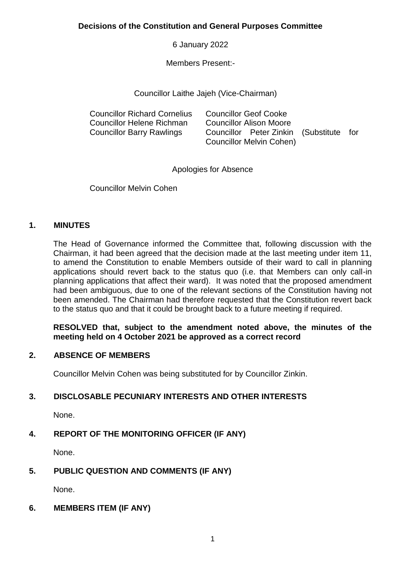**Decisions of the Constitution and General Purposes Committee**

6 January 2022

Members Present:-

Councillor Laithe Jajeh (Vice-Chairman)

| <b>Councillor Richard Cornelius</b> | <b>Councillor Geof Cooke</b>            |  |
|-------------------------------------|-----------------------------------------|--|
| Councillor Helene Richman           | <b>Councillor Alison Moore</b>          |  |
| <b>Councillor Barry Rawlings</b>    | Councillor Peter Zinkin (Substitute for |  |
|                                     | Councillor Melvin Cohen)                |  |

Apologies for Absence

Councillor Melvin Cohen

# **1. MINUTES**

The Head of Governance informed the Committee that, following discussion with the Chairman, it had been agreed that the decision made at the last meeting under item 11, to amend the Constitution to enable Members outside of their ward to call in planning applications should revert back to the status quo (i.e. that Members can only call-in planning applications that affect their ward). It was noted that the proposed amendment had been ambiguous, due to one of the relevant sections of the Constitution having not been amended. The Chairman had therefore requested that the Constitution revert back to the status quo and that it could be brought back to a future meeting if required.

**RESOLVED that, subject to the amendment noted above, the minutes of the meeting held on 4 October 2021 be approved as a correct record**

## **2. ABSENCE OF MEMBERS**

Councillor Melvin Cohen was being substituted for by Councillor Zinkin.

# **3. DISCLOSABLE PECUNIARY INTERESTS AND OTHER INTERESTS**

None.

# **4. REPORT OF THE MONITORING OFFICER (IF ANY)**

None.

# **5. PUBLIC QUESTION AND COMMENTS (IF ANY)**

None.

# **6. MEMBERS ITEM (IF ANY)**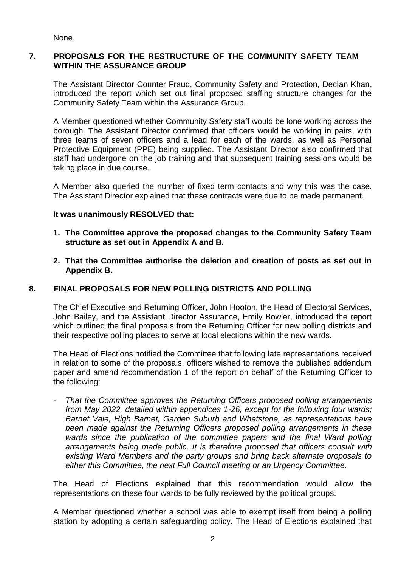None.

# **7. PROPOSALS FOR THE RESTRUCTURE OF THE COMMUNITY SAFETY TEAM WITHIN THE ASSURANCE GROUP**

The Assistant Director Counter Fraud, Community Safety and Protection, Declan Khan, introduced the report which set out final proposed staffing structure changes for the Community Safety Team within the Assurance Group.

A Member questioned whether Community Safety staff would be lone working across the borough. The Assistant Director confirmed that officers would be working in pairs, with three teams of seven officers and a lead for each of the wards, as well as Personal Protective Equipment (PPE) being supplied. The Assistant Director also confirmed that staff had undergone on the job training and that subsequent training sessions would be taking place in due course.

A Member also queried the number of fixed term contacts and why this was the case. The Assistant Director explained that these contracts were due to be made permanent.

## **It was unanimously RESOLVED that:**

- **1. The Committee approve the proposed changes to the Community Safety Team structure as set out in Appendix A and B.**
- **2. That the Committee authorise the deletion and creation of posts as set out in Appendix B.**

## **8. FINAL PROPOSALS FOR NEW POLLING DISTRICTS AND POLLING**

The Chief Executive and Returning Officer, John Hooton, the Head of Electoral Services, John Bailey, and the Assistant Director Assurance, Emily Bowler, introduced the report which outlined the final proposals from the Returning Officer for new polling districts and their respective polling places to serve at local elections within the new wards.

The Head of Elections notified the Committee that following late representations received in relation to some of the proposals, officers wished to remove the published addendum paper and amend recommendation 1 of the report on behalf of the Returning Officer to the following:

- *That the Committee approves the Returning Officers proposed polling arrangements from May 2022, detailed within appendices 1-26, except for the following four wards; Barnet Vale, High Barnet, Garden Suburb and Whetstone, as representations have*  been made against the Returning Officers proposed polling arrangements in these wards since the publication of the committee papers and the final Ward polling *arrangements being made public. It is therefore proposed that officers consult with existing Ward Members and the party groups and bring back alternate proposals to either this Committee, the next Full Council meeting or an Urgency Committee.* 

The Head of Elections explained that this recommendation would allow the representations on these four wards to be fully reviewed by the political groups.

A Member questioned whether a school was able to exempt itself from being a polling station by adopting a certain safeguarding policy. The Head of Elections explained that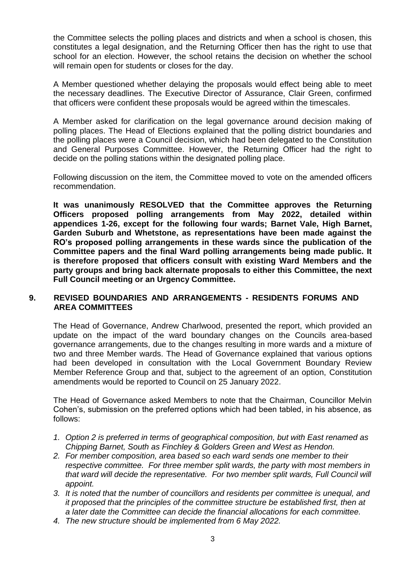the Committee selects the polling places and districts and when a school is chosen, this constitutes a legal designation, and the Returning Officer then has the right to use that school for an election. However, the school retains the decision on whether the school will remain open for students or closes for the day.

A Member questioned whether delaying the proposals would effect being able to meet the necessary deadlines. The Executive Director of Assurance, Clair Green, confirmed that officers were confident these proposals would be agreed within the timescales.

A Member asked for clarification on the legal governance around decision making of polling places. The Head of Elections explained that the polling district boundaries and the polling places were a Council decision, which had been delegated to the Constitution and General Purposes Committee. However, the Returning Officer had the right to decide on the polling stations within the designated polling place.

Following discussion on the item, the Committee moved to vote on the amended officers recommendation.

**It was unanimously RESOLVED that the Committee approves the Returning Officers proposed polling arrangements from May 2022, detailed within appendices 1-26, except for the following four wards; Barnet Vale, High Barnet, Garden Suburb and Whetstone, as representations have been made against the RO's proposed polling arrangements in these wards since the publication of the Committee papers and the final Ward polling arrangements being made public. It is therefore proposed that officers consult with existing Ward Members and the party groups and bring back alternate proposals to either this Committee, the next Full Council meeting or an Urgency Committee.** 

## **9. REVISED BOUNDARIES AND ARRANGEMENTS - RESIDENTS FORUMS AND AREA COMMITTEES**

The Head of Governance, Andrew Charlwood, presented the report, which provided an update on the impact of the ward boundary changes on the Councils area-based governance arrangements, due to the changes resulting in more wards and a mixture of two and three Member wards. The Head of Governance explained that various options had been developed in consultation with the Local Government Boundary Review Member Reference Group and that, subject to the agreement of an option, Constitution amendments would be reported to Council on 25 January 2022.

The Head of Governance asked Members to note that the Chairman, Councillor Melvin Cohen's, submission on the preferred options which had been tabled, in his absence, as follows:

- *1. Option 2 is preferred in terms of geographical composition, but with East renamed as Chipping Barnet, South as Finchley & Golders Green and West as Hendon.*
- *2. For member composition, area based so each ward sends one member to their respective committee. For three member split wards, the party with most members in that ward will decide the representative. For two member split wards, Full Council will appoint.*
- *3. It is noted that the number of councillors and residents per committee is unequal, and it proposed that the principles of the committee structure be established first, then at a later date the Committee can decide the financial allocations for each committee.*
- *4. The new structure should be implemented from 6 May 2022.*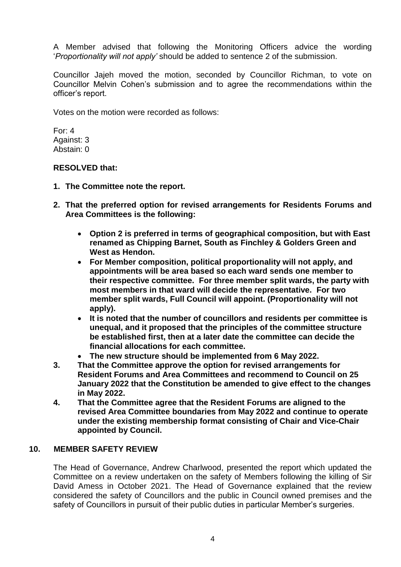A Member advised that following the Monitoring Officers advice the wording '*Proportionality will not apply'* should be added to sentence 2 of the submission.

Councillor Jajeh moved the motion, seconded by Councillor Richman, to vote on Councillor Melvin Cohen's submission and to agree the recommendations within the officer's report.

Votes on the motion were recorded as follows:

For: 4 Against: 3 Abstain: 0

#### **RESOLVED that:**

- **1. The Committee note the report.**
- **2. That the preferred option for revised arrangements for Residents Forums and Area Committees is the following:**
	- **Option 2 is preferred in terms of geographical composition, but with East renamed as Chipping Barnet, South as Finchley & Golders Green and West as Hendon.**
	- **For Member composition, political proportionality will not apply, and appointments will be area based so each ward sends one member to their respective committee. For three member split wards, the party with most members in that ward will decide the representative. For two member split wards, Full Council will appoint. (Proportionality will not apply).**
	- **It is noted that the number of councillors and residents per committee is unequal, and it proposed that the principles of the committee structure be established first, then at a later date the committee can decide the financial allocations for each committee.**
	- **The new structure should be implemented from 6 May 2022.**
- **3. That the Committee approve the option for revised arrangements for Resident Forums and Area Committees and recommend to Council on 25 January 2022 that the Constitution be amended to give effect to the changes in May 2022.**
- **4. That the Committee agree that the Resident Forums are aligned to the revised Area Committee boundaries from May 2022 and continue to operate under the existing membership format consisting of Chair and Vice-Chair appointed by Council.**

#### **10. MEMBER SAFETY REVIEW**

The Head of Governance, Andrew Charlwood, presented the report which updated the Committee on a review undertaken on the safety of Members following the killing of Sir David Amess in October 2021. The Head of Governance explained that the review considered the safety of Councillors and the public in Council owned premises and the safety of Councillors in pursuit of their public duties in particular Member's surgeries.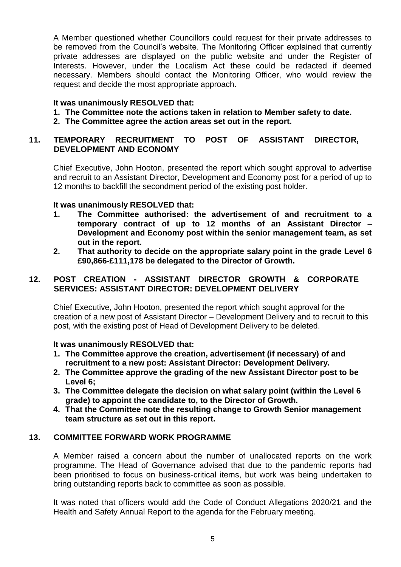A Member questioned whether Councillors could request for their private addresses to be removed from the Council's website. The Monitoring Officer explained that currently private addresses are displayed on the public website and under the Register of Interests. However, under the Localism Act these could be redacted if deemed necessary. Members should contact the Monitoring Officer, who would review the request and decide the most appropriate approach.

# **It was unanimously RESOLVED that:**

- **1. The Committee note the actions taken in relation to Member safety to date.**
- **2. The Committee agree the action areas set out in the report.**

# **11. TEMPORARY RECRUITMENT TO POST OF ASSISTANT DIRECTOR, DEVELOPMENT AND ECONOMY**

Chief Executive, John Hooton, presented the report which sought approval to advertise and recruit to an Assistant Director, Development and Economy post for a period of up to 12 months to backfill the secondment period of the existing post holder.

## **It was unanimously RESOLVED that:**

- **1. The Committee authorised: the advertisement of and recruitment to a temporary contract of up to 12 months of an Assistant Director – Development and Economy post within the senior management team, as set out in the report.**
- **2. That authority to decide on the appropriate salary point in the grade Level 6 £90,866-£111,178 be delegated to the Director of Growth.**

# **12. POST CREATION - ASSISTANT DIRECTOR GROWTH & CORPORATE SERVICES: ASSISTANT DIRECTOR: DEVELOPMENT DELIVERY**

Chief Executive, John Hooton, presented the report which sought approval for the creation of a new post of Assistant Director – Development Delivery and to recruit to this post, with the existing post of Head of Development Delivery to be deleted.

## **It was unanimously RESOLVED that:**

- **1. The Committee approve the creation, advertisement (if necessary) of and recruitment to a new post: Assistant Director: Development Delivery.**
- **2. The Committee approve the grading of the new Assistant Director post to be Level 6;**
- **3. The Committee delegate the decision on what salary point (within the Level 6 grade) to appoint the candidate to, to the Director of Growth.**
- **4. That the Committee note the resulting change to Growth Senior management team structure as set out in this report.**

## **13. COMMITTEE FORWARD WORK PROGRAMME**

A Member raised a concern about the number of unallocated reports on the work programme. The Head of Governance advised that due to the pandemic reports had been prioritised to focus on business-critical items, but work was being undertaken to bring outstanding reports back to committee as soon as possible.

It was noted that officers would add the Code of Conduct Allegations 2020/21 and the Health and Safety Annual Report to the agenda for the February meeting.